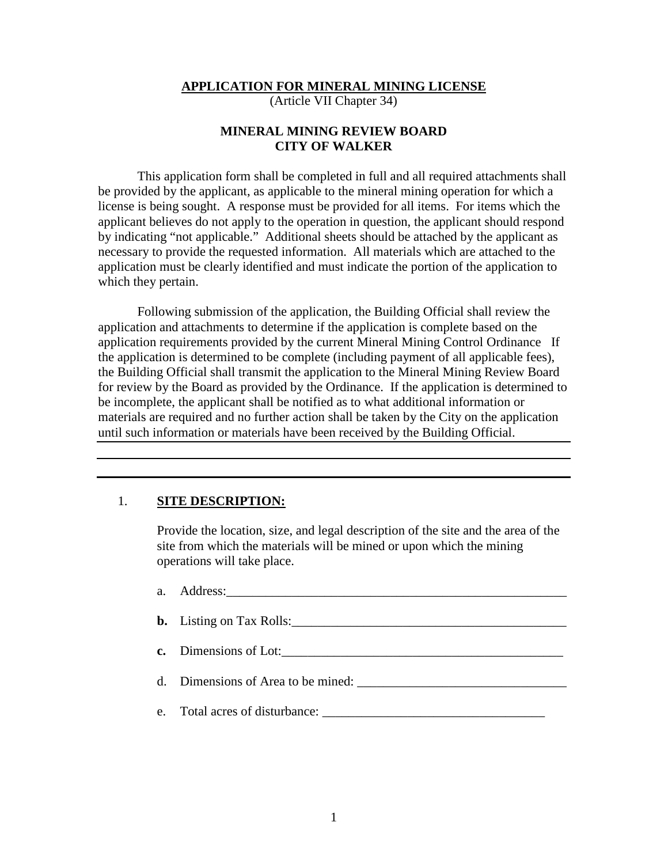**APPLICATION FOR MINERAL MINING LICENSE**

(Article VII Chapter 34)

### **MINERAL MINING REVIEW BOARD CITY OF WALKER**

This application form shall be completed in full and all required attachments shall be provided by the applicant, as applicable to the mineral mining operation for which a license is being sought. A response must be provided for all items. For items which the applicant believes do not apply to the operation in question, the applicant should respond by indicating "not applicable." Additional sheets should be attached by the applicant as necessary to provide the requested information. All materials which are attached to the application must be clearly identified and must indicate the portion of the application to which they pertain.

Following submission of the application, the Building Official shall review the application and attachments to determine if the application is complete based on the application requirements provided by the current Mineral Mining Control Ordinance If the application is determined to be complete (including payment of all applicable fees), the Building Official shall transmit the application to the Mineral Mining Review Board for review by the Board as provided by the Ordinance. If the application is determined to be incomplete, the applicant shall be notified as to what additional information or materials are required and no further action shall be taken by the City on the application until such information or materials have been received by the Building Official.

#### 1. **SITE DESCRIPTION:**

Provide the location, size, and legal description of the site and the area of the site from which the materials will be mined or upon which the mining operations will take place.

a. Address:\_\_\_\_\_\_\_\_\_\_\_\_\_\_\_\_\_\_\_\_\_\_\_\_\_\_\_\_\_\_\_\_\_\_\_\_\_\_\_\_\_\_\_\_\_\_\_\_\_\_\_\_ **b.** Listing on Tax Rolls: **c.** Dimensions of Lot: d. Dimensions of Area to be mined: \_\_\_\_\_\_\_\_\_\_\_\_\_\_\_\_\_\_\_\_\_\_\_\_\_\_\_\_\_\_\_\_ e. Total acres of disturbance: \_\_\_\_\_\_\_\_\_\_\_\_\_\_\_\_\_\_\_\_\_\_\_\_\_\_\_\_\_\_\_\_\_\_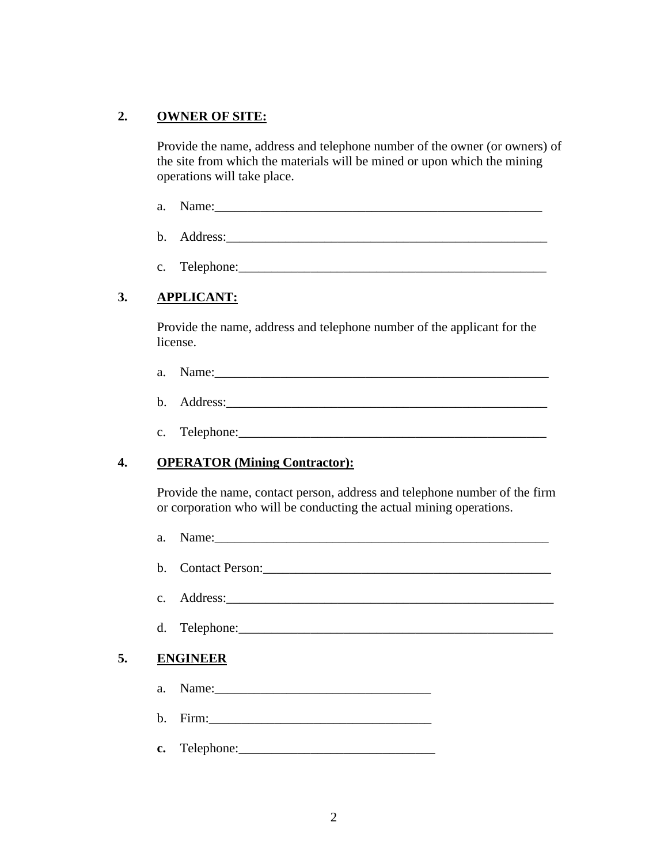## **2. OWNER OF SITE:**

Provide the name, address and telephone number of the owner (or owners) of the site from which the materials will be mined or upon which the mining operations will take place.

- a. Name:\_\_\_\_\_\_\_\_\_\_\_\_\_\_\_\_\_\_\_\_\_\_\_\_\_\_\_\_\_\_\_\_\_\_\_\_\_\_\_\_\_\_\_\_\_\_\_\_\_\_
- b. Address:
- c. Telephone:

# **3. APPLICANT:**

Provide the name, address and telephone number of the applicant for the license.

- a. Name:\_\_\_\_\_\_\_\_\_\_\_\_\_\_\_\_\_\_\_\_\_\_\_\_\_\_\_\_\_\_\_\_\_\_\_\_\_\_\_\_\_\_\_\_\_\_\_\_\_\_\_
- b. Address:\_\_\_\_\_\_\_\_\_\_\_\_\_\_\_\_\_\_\_\_\_\_\_\_\_\_\_\_\_\_\_\_\_\_\_\_\_\_\_\_\_\_\_\_\_\_\_\_\_
- c. Telephone:

# **4. OPERATOR (Mining Contractor):**

Provide the name, contact person, address and telephone number of the firm or corporation who will be conducting the actual mining operations.

a. Name: b. Contact Person:\_\_\_\_\_\_\_\_\_\_\_\_\_\_\_\_\_\_\_\_\_\_\_\_\_\_\_\_\_\_\_\_\_\_\_\_\_\_\_\_\_\_\_\_ c. Address: d. Telephone:\_\_\_\_\_\_\_\_\_\_\_\_\_\_\_\_\_\_\_\_\_\_\_\_\_\_\_\_\_\_\_\_\_\_\_\_\_\_\_\_\_\_\_\_\_\_\_\_ **5. ENGINEER** a. Name:\_\_\_\_\_\_\_\_\_\_\_\_\_\_\_\_\_\_\_\_\_\_\_\_\_\_\_\_\_\_\_\_\_ b. Firm:\_\_\_\_\_\_\_\_\_\_\_\_\_\_\_\_\_\_\_\_\_\_\_\_\_\_\_\_\_\_\_\_\_\_ **c.** Telephone:\_\_\_\_\_\_\_\_\_\_\_\_\_\_\_\_\_\_\_\_\_\_\_\_\_\_\_\_\_\_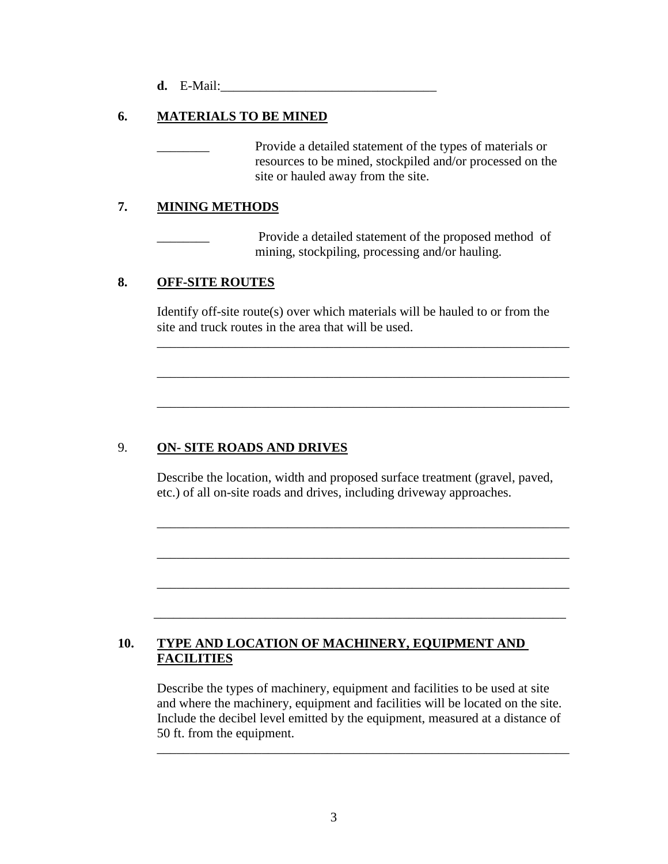**d.** E-Mail:

## **6. MATERIALS TO BE MINED**

Provide a detailed statement of the types of materials or resources to be mined, stockpiled and/or processed on the site or hauled away from the site.

### **7. MINING METHODS**

Provide a detailed statement of the proposed method of mining, stockpiling, processing and/or hauling.

#### **8. OFF-SITE ROUTES**

Identify off-site route(s) over which materials will be hauled to or from the site and truck routes in the area that will be used.

\_\_\_\_\_\_\_\_\_\_\_\_\_\_\_\_\_\_\_\_\_\_\_\_\_\_\_\_\_\_\_\_\_\_\_\_\_\_\_\_\_\_\_\_\_\_\_\_\_\_\_\_\_\_\_\_\_\_\_\_\_\_\_

\_\_\_\_\_\_\_\_\_\_\_\_\_\_\_\_\_\_\_\_\_\_\_\_\_\_\_\_\_\_\_\_\_\_\_\_\_\_\_\_\_\_\_\_\_\_\_\_\_\_\_\_\_\_\_\_\_\_\_\_\_\_\_

\_\_\_\_\_\_\_\_\_\_\_\_\_\_\_\_\_\_\_\_\_\_\_\_\_\_\_\_\_\_\_\_\_\_\_\_\_\_\_\_\_\_\_\_\_\_\_\_\_\_\_\_\_\_\_\_\_\_\_\_\_\_\_

### 9. **ON- SITE ROADS AND DRIVES**

 Describe the location, width and proposed surface treatment (gravel, paved, etc.) of all on-site roads and drives, including driveway approaches.

\_\_\_\_\_\_\_\_\_\_\_\_\_\_\_\_\_\_\_\_\_\_\_\_\_\_\_\_\_\_\_\_\_\_\_\_\_\_\_\_\_\_\_\_\_\_\_\_\_\_\_\_\_\_\_\_\_\_\_\_\_\_\_

\_\_\_\_\_\_\_\_\_\_\_\_\_\_\_\_\_\_\_\_\_\_\_\_\_\_\_\_\_\_\_\_\_\_\_\_\_\_\_\_\_\_\_\_\_\_\_\_\_\_\_\_\_\_\_\_\_\_\_\_\_\_\_

\_\_\_\_\_\_\_\_\_\_\_\_\_\_\_\_\_\_\_\_\_\_\_\_\_\_\_\_\_\_\_\_\_\_\_\_\_\_\_\_\_\_\_\_\_\_\_\_\_\_\_\_\_\_\_\_\_\_\_\_\_\_\_

\_\_\_\_\_\_\_\_\_\_\_\_\_\_\_\_\_\_\_\_\_\_\_\_\_\_\_\_\_\_\_\_\_\_\_\_\_\_\_\_\_\_\_\_\_\_\_\_\_\_\_\_\_\_\_\_\_\_\_\_\_\_\_

### **10. TYPE AND LOCATION OF MACHINERY, EQUIPMENT AND FACILITIES**

 Describe the types of machinery, equipment and facilities to be used at site and where the machinery, equipment and facilities will be located on the site. Include the decibel level emitted by the equipment, measured at a distance of 50 ft. from the equipment.

\_\_\_\_\_\_\_\_\_\_\_\_\_\_\_\_\_\_\_\_\_\_\_\_\_\_\_\_\_\_\_\_\_\_\_\_\_\_\_\_\_\_\_\_\_\_\_\_\_\_\_\_\_\_\_\_\_\_\_\_\_\_\_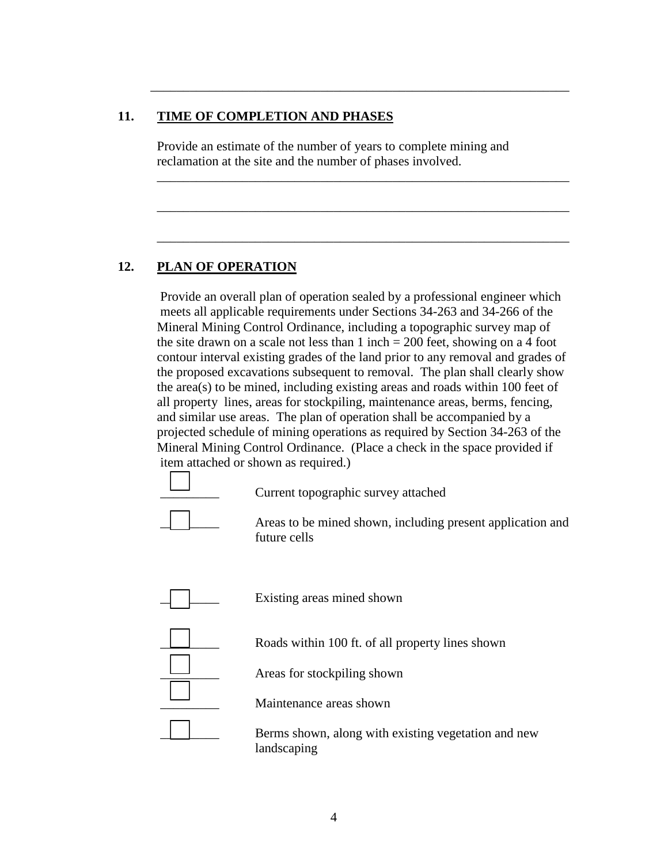### **11. TIME OF COMPLETION AND PHASES**

 Provide an estimate of the number of years to complete mining and reclamation at the site and the number of phases involved.

\_\_\_\_\_\_\_\_\_\_\_\_\_\_\_\_\_\_\_\_\_\_\_\_\_\_\_\_\_\_\_\_\_\_\_\_\_\_\_\_\_\_\_\_\_\_\_\_\_\_\_\_\_\_\_\_\_\_\_\_\_\_\_

\_\_\_\_\_\_\_\_\_\_\_\_\_\_\_\_\_\_\_\_\_\_\_\_\_\_\_\_\_\_\_\_\_\_\_\_\_\_\_\_\_\_\_\_\_\_\_\_\_\_\_\_\_\_\_\_\_\_\_\_\_\_\_

\_\_\_\_\_\_\_\_\_\_\_\_\_\_\_\_\_\_\_\_\_\_\_\_\_\_\_\_\_\_\_\_\_\_\_\_\_\_\_\_\_\_\_\_\_\_\_\_\_\_\_\_\_\_\_\_\_\_\_\_\_\_\_

\_\_\_\_\_\_\_\_\_\_\_\_\_\_\_\_\_\_\_\_\_\_\_\_\_\_\_\_\_\_\_\_\_\_\_\_\_\_\_\_\_\_\_\_\_\_\_\_\_\_\_\_\_\_\_\_\_\_\_\_\_\_\_\_

### **12. PLAN OF OPERATION**

 Provide an overall plan of operation sealed by a professional engineer which meets all applicable requirements under Sections 34-263 and 34-266 of the Mineral Mining Control Ordinance, including a topographic survey map of the site drawn on a scale not less than  $1$  inch  $= 200$  feet, showing on a 4 foot contour interval existing grades of the land prior to any removal and grades of the proposed excavations subsequent to removal. The plan shall clearly show the area(s) to be mined, including existing areas and roads within 100 feet of all property lines, areas for stockpiling, maintenance areas, berms, fencing, and similar use areas. The plan of operation shall be accompanied by a projected schedule of mining operations as required by Section 34-263 of the Mineral Mining Control Ordinance. (Place a check in the space provided if item attached or shown as required.)



\_\_\_\_\_\_\_\_\_ Current topographic survey attached

Areas to be mined shown, including present application and future cells



Existing areas mined shown



Areas for stockpiling shown

\_\_\_\_\_\_\_\_\_ Maintenance areas shown

Berms shown, along with existing vegetation and new landscaping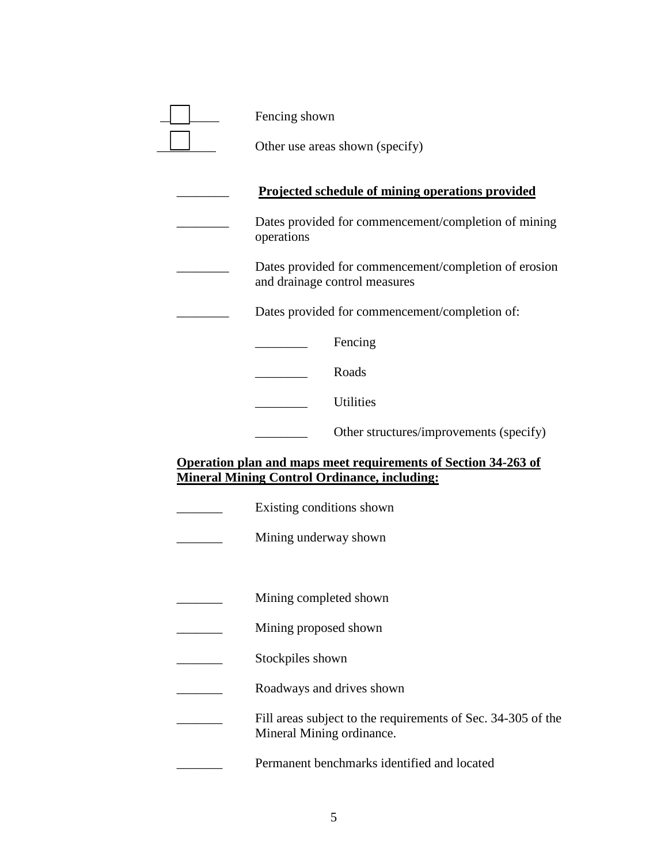| Fencing shown                                                                                                         |
|-----------------------------------------------------------------------------------------------------------------------|
| Other use areas shown (specify)                                                                                       |
| Projected schedule of mining operations provided                                                                      |
| Dates provided for commencement/completion of mining<br>operations                                                    |
| Dates provided for commencement/completion of erosion<br>and drainage control measures                                |
| Dates provided for commencement/completion of:                                                                        |
| Fencing                                                                                                               |
| Roads                                                                                                                 |
| Utilities                                                                                                             |
| Other structures/improvements (specify)                                                                               |
| Operation plan and maps meet requirements of Section 34-263 of<br><b>Mineral Mining Control Ordinance, including:</b> |
| Existing conditions shown                                                                                             |
| Mining underway shown                                                                                                 |
|                                                                                                                       |
| Mining completed shown                                                                                                |
| Mining proposed shown                                                                                                 |
| Stockpiles shown                                                                                                      |
| Roadways and drives shown                                                                                             |
| Fill areas subject to the requirements of Sec. 34-305 of the<br>Mineral Mining ordinance.                             |
|                                                                                                                       |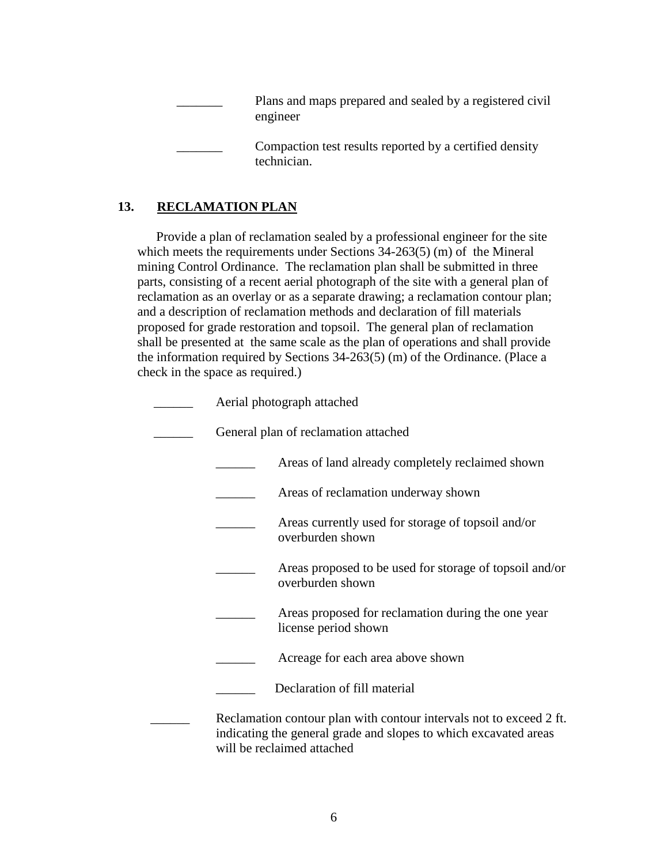Plans and maps prepared and sealed by a registered civil engineer Compaction test results reported by a certified density technician.

## **13. RECLAMATION PLAN**

Provide a plan of reclamation sealed by a professional engineer for the site which meets the requirements under Sections 34-263(5) (m) of the Mineral mining Control Ordinance. The reclamation plan shall be submitted in three parts, consisting of a recent aerial photograph of the site with a general plan of reclamation as an overlay or as a separate drawing; a reclamation contour plan; and a description of reclamation methods and declaration of fill materials proposed for grade restoration and topsoil. The general plan of reclamation shall be presented at the same scale as the plan of operations and shall provide the information required by Sections 34-263(5) (m) of the Ordinance. (Place a check in the space as required.)

| Aerial photograph attached                                                                                                                                            |  |
|-----------------------------------------------------------------------------------------------------------------------------------------------------------------------|--|
| General plan of reclamation attached                                                                                                                                  |  |
| Areas of land already completely reclaimed shown                                                                                                                      |  |
| Areas of reclamation underway shown                                                                                                                                   |  |
| Areas currently used for storage of topsoil and/or<br>overburden shown                                                                                                |  |
| Areas proposed to be used for storage of topsoil and/or<br>overburden shown                                                                                           |  |
| Areas proposed for reclamation during the one year<br>license period shown                                                                                            |  |
| Acreage for each area above shown                                                                                                                                     |  |
| Declaration of fill material                                                                                                                                          |  |
| Reclamation contour plan with contour intervals not to exceed 2 ft.<br>indicating the general grade and slopes to which excavated areas<br>will be reclaimed attached |  |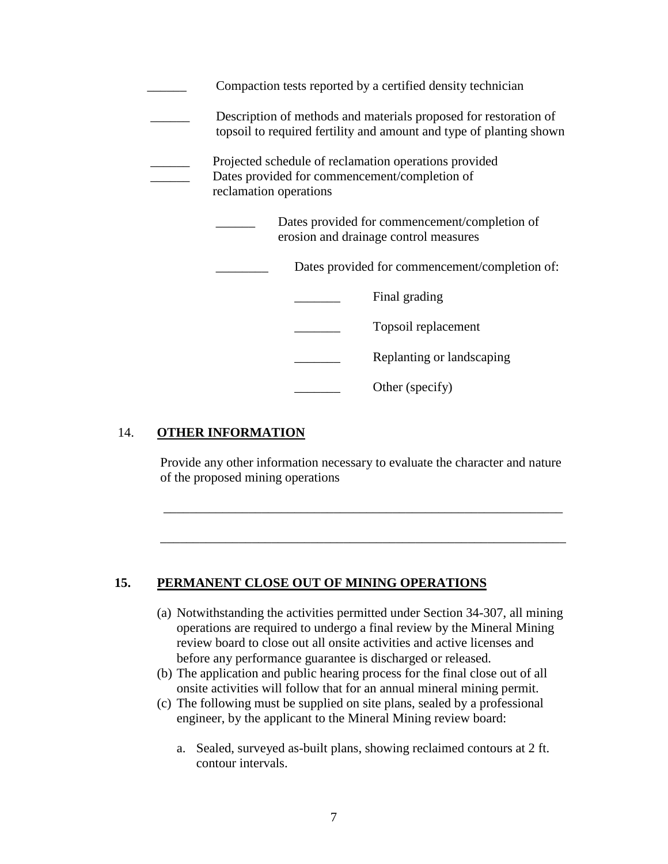|                        | Compaction tests reported by a certified density technician                                                                             |
|------------------------|-----------------------------------------------------------------------------------------------------------------------------------------|
|                        | Description of methods and materials proposed for restoration of<br>topsoil to required fertility and amount and type of planting shown |
| reclamation operations | Projected schedule of reclamation operations provided<br>Dates provided for commencement/completion of                                  |
|                        | Dates provided for commencement/completion of<br>erosion and drainage control measures                                                  |
|                        | Dates provided for commencement/completion of:                                                                                          |
|                        | Final grading                                                                                                                           |
|                        | Topsoil replacement                                                                                                                     |
|                        | Replanting or landscaping                                                                                                               |
|                        | Other (specify)                                                                                                                         |

### 14. **OTHER INFORMATION**

 Provide any other information necessary to evaluate the character and nature of the proposed mining operations

\_\_\_\_\_\_\_\_\_\_\_\_\_\_\_\_\_\_\_\_\_\_\_\_\_\_\_\_\_\_\_\_\_\_\_\_\_\_\_\_\_\_\_\_\_\_\_\_\_\_\_\_\_\_\_\_\_\_\_\_\_

\_\_\_\_\_\_\_\_\_\_\_\_\_\_\_\_\_\_\_\_\_\_\_\_\_\_\_\_\_\_\_\_\_\_\_\_\_\_\_\_\_\_\_\_\_\_\_\_\_\_\_\_\_\_\_\_\_\_\_\_\_\_

#### **15. PERMANENT CLOSE OUT OF MINING OPERATIONS**

- (a) Notwithstanding the activities permitted under Section 34-307, all mining operations are required to undergo a final review by the Mineral Mining review board to close out all onsite activities and active licenses and before any performance guarantee is discharged or released.
- (b) The application and public hearing process for the final close out of all onsite activities will follow that for an annual mineral mining permit.
- (c) The following must be supplied on site plans, sealed by a professional engineer, by the applicant to the Mineral Mining review board:
	- a. Sealed, surveyed as-built plans, showing reclaimed contours at 2 ft. contour intervals.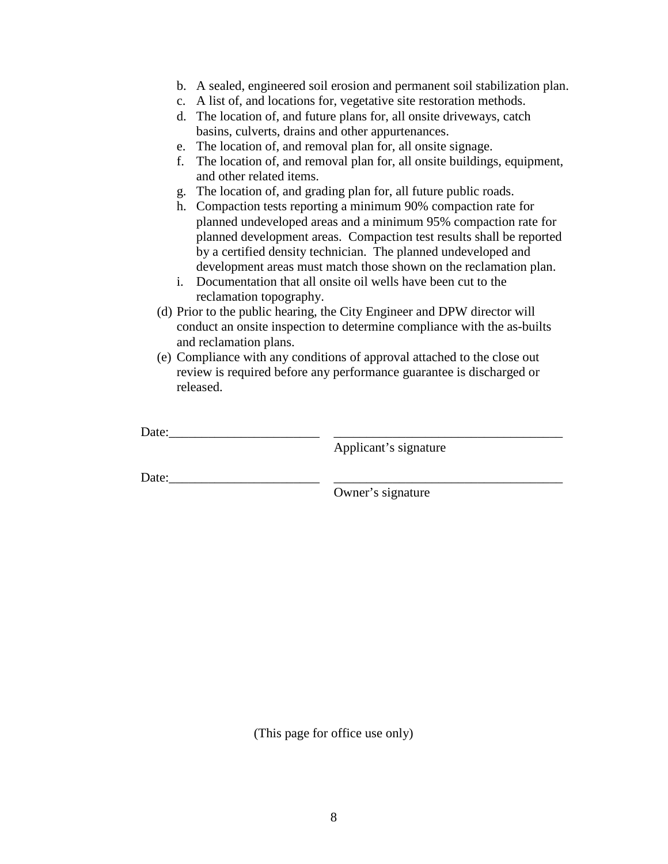- b. A sealed, engineered soil erosion and permanent soil stabilization plan.
- c. A list of, and locations for, vegetative site restoration methods.
- d. The location of, and future plans for, all onsite driveways, catch basins, culverts, drains and other appurtenances.
- e. The location of, and removal plan for, all onsite signage.
- f. The location of, and removal plan for, all onsite buildings, equipment, and other related items.
- g. The location of, and grading plan for, all future public roads.
- h. Compaction tests reporting a minimum 90% compaction rate for planned undeveloped areas and a minimum 95% compaction rate for planned development areas. Compaction test results shall be reported by a certified density technician. The planned undeveloped and development areas must match those shown on the reclamation plan.
- i. Documentation that all onsite oil wells have been cut to the reclamation topography.
- (d) Prior to the public hearing, the City Engineer and DPW director will conduct an onsite inspection to determine compliance with the as-builts and reclamation plans.
- (e) Compliance with any conditions of approval attached to the close out review is required before any performance guarantee is discharged or released.

Date: $\Box$ 

Applicant's signature

Date:

Owner's signature

(This page for office use only)